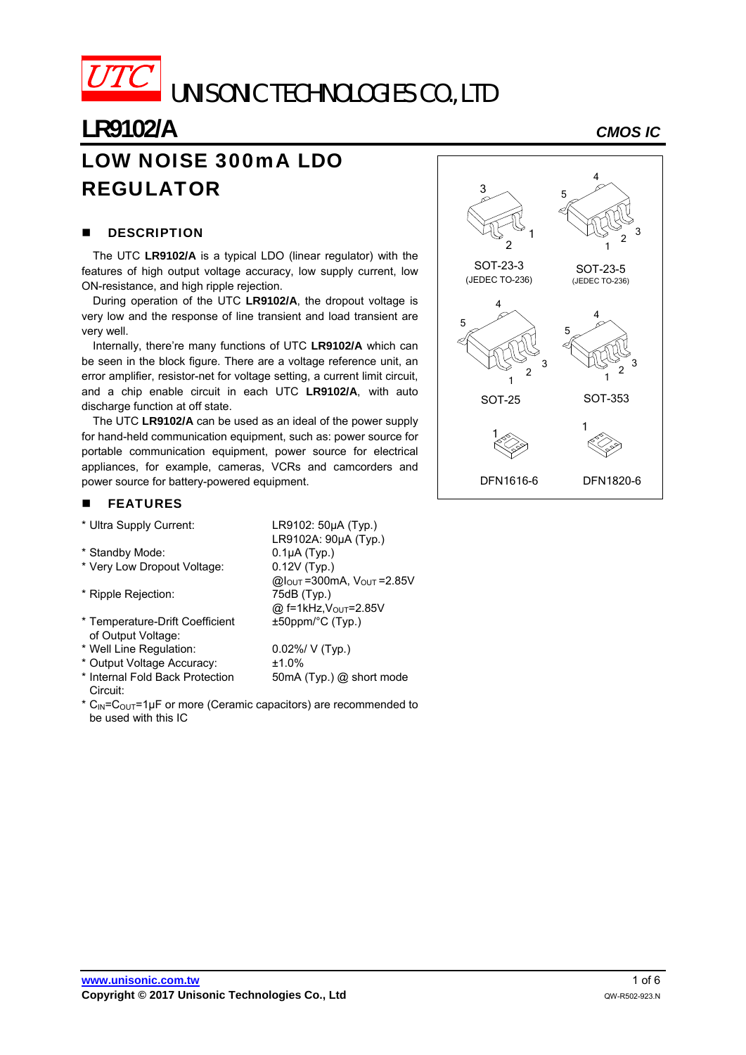

UNISONIC TECHNOLOGIES CO., LTD

## **LR9102/A** *CMOS IC* LOW NOISE 300mA LDO REGULATOR

#### **DESCRIPTION**

The UTC **LR9102/A** is a typical LDO (linear regulator) with the features of high output voltage accuracy, low supply current, low ON-resistance, and high ripple rejection.

During operation of the UTC **LR9102/A**, the dropout voltage is very low and the response of line transient and load transient are very well.

Internally, there're many functions of UTC **LR9102/A** which can be seen in the block figure. There are a voltage reference unit, an error amplifier, resistor-net for voltage setting, a current limit circuit, and a chip enable circuit in each UTC **LR9102/A**, with auto discharge function at off state.

The UTC **LR9102/A** can be used as an ideal of the power supply for hand-held communication equipment, such as: power source for portable communication equipment, power source for electrical appliances, for example, cameras, VCRs and camcorders and power source for battery-powered equipment.

> LR9102: 50µA (Typ.) LR9102A: 90µA (Typ.)

> $@$  f=1kHz, $V_{OUT}$ =2.85V

±50ppm/°C (Typ.)

 $@I<sub>OUT</sub> = 300mA, V<sub>OUT</sub> = 2.85V$ 

50mA (Typ.) @ short mode

 $0.1\mu A$  (Typ.)

#### FEATURES

|  |  | * Ultra Supply Current: |
|--|--|-------------------------|
|  |  |                         |

| * Standby Mode: |
|-----------------|

- \* Very Low Dropout Voltage: 0.12V (Typ.)
- \* Ripple Rejection: 75dB (Typ.)
- \* Temperature-Drift Coefficient of Output Voltage:
- \* Well Line Regulation: 0.02%/ V (Typ.)
- \* Output Voltage Accuracy: ±1.0%
- \* Internal Fold Back Protection Circuit:
- \*  $C_{\text{IN}}=C_{\text{OUT}}=1\,\mu\text{F}$  or more (Ceramic capacitors) are recommended to be used with this IC

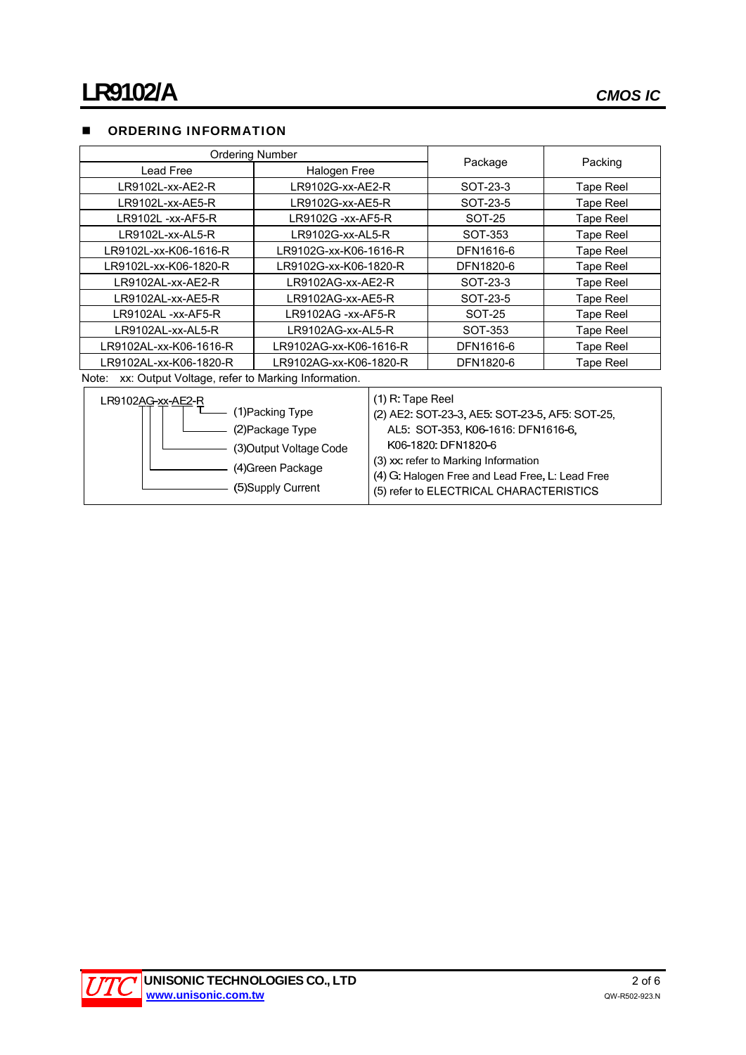## **DE ORDERING INFORMATION**

| <b>Ordering Number</b>                                     |                        |  |           |                  |  |
|------------------------------------------------------------|------------------------|--|-----------|------------------|--|
| Lead Free                                                  | Halogen Free           |  | Package   | Packing          |  |
| LR9102L-xx-AE2-R                                           | LR9102G-xx-AE2-R       |  | SOT-23-3  | <b>Tape Reel</b> |  |
| LR9102L-xx-AE5-R                                           | LR9102G-xx-AE5-R       |  | SOT-23-5  | Tape Reel        |  |
| LR9102L -xx-AF5-R                                          | LR9102G -xx-AF5-R      |  | SOT-25    | <b>Tape Reel</b> |  |
| LR9102L-xx-AL5-R                                           | LR9102G-xx-AL5-R       |  | SOT-353   | <b>Tape Reel</b> |  |
| LR9102L-xx-K06-1616-R                                      | LR9102G-xx-K06-1616-R  |  | DFN1616-6 | Tape Reel        |  |
| LR9102L-xx-K06-1820-R                                      | LR9102G-xx-K06-1820-R  |  | DFN1820-6 | <b>Tape Reel</b> |  |
| LR9102AL-xx-AE2-R                                          | LR9102AG-xx-AE2-R      |  | SOT-23-3  | Tape Reel        |  |
| LR9102AL-xx-AE5-R                                          | LR9102AG-xx-AE5-R      |  | SOT-23-5  | Tape Reel        |  |
| LR9102AL -xx-AF5-R                                         | LR9102AG -xx-AF5-R     |  | SOT-25    | Tape Reel        |  |
| LR9102AL-xx-AL5-R                                          | LR9102AG-xx-AL5-R      |  | SOT-353   | <b>Tape Reel</b> |  |
| LR9102AL-xx-K06-1616-R                                     | LR9102AG-xx-K06-1616-R |  | DFN1616-6 | Tape Reel        |  |
| LR9102AL-xx-K06-1820-R                                     | LR9102AG-xx-K06-1820-R |  | DFN1820-6 | <b>Tape Reel</b> |  |
| xx: Output Voltage, refer to Marking Information.<br>Note: |                        |  |           |                  |  |
| $PQ102AG$ -yy- $\Delta$ F2-R                               | $(1)$ R: Tape Reel     |  |           |                  |  |

| LRYIUZAG-XX-AEZ-R       | UULL LADE LIGGI                                 |
|-------------------------|-------------------------------------------------|
| (1)Packing Type         | (2) AE2: SOT-23-3, AE5: SOT-23-5, AF5: SOT-25,  |
| (2) Package Type        | AL5: SOT-353, K06-1616: DFN1616-6,              |
| (3) Output Voltage Code | K06-1820: DFN1820-6                             |
| (4) Green Package       | (3) xx: refer to Marking Information            |
|                         | (4) G: Halogen Free and Lead Free, L: Lead Free |
| (5) Supply Current      | (5) refer to ELECTRICAL CHARACTERISTICS         |
|                         |                                                 |

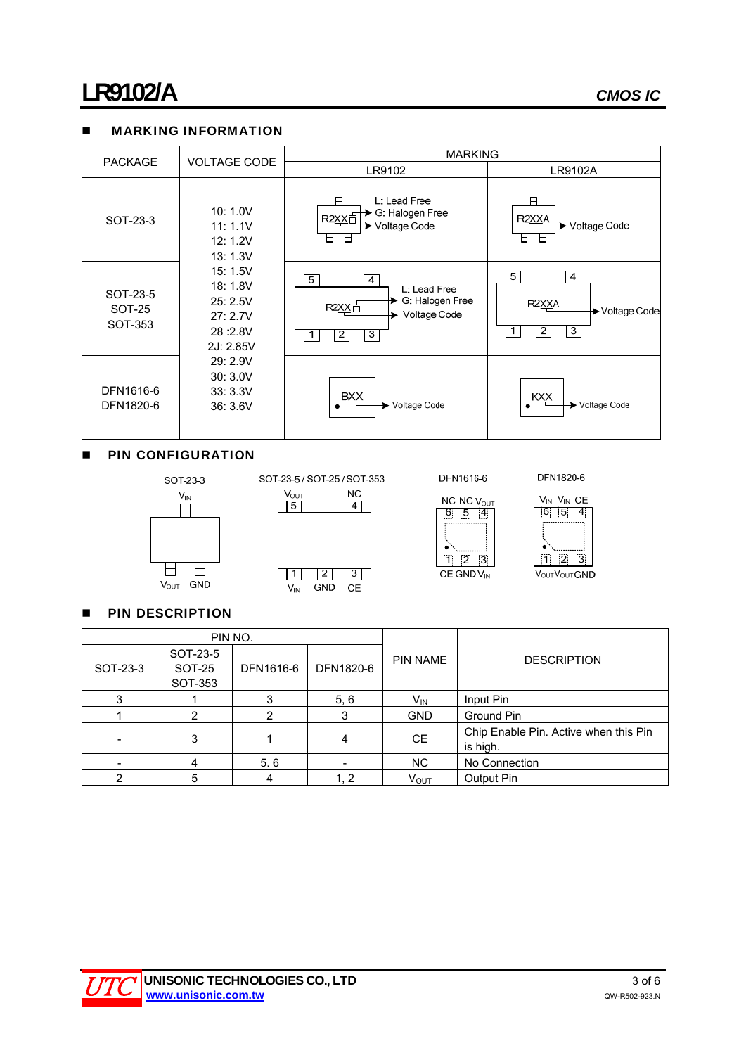## **MARKING INFORMATION**



#### **PIN CONFIGURATION**





DFN1616-6

Ιú.

DFN1820-6





**PIN DESCRIPTION** 

|          | PIN NO.                       |           |           |                 | <b>DESCRIPTION</b>                                |  |
|----------|-------------------------------|-----------|-----------|-----------------|---------------------------------------------------|--|
| SOT-23-3 | SOT-23-5<br>SOT-25<br>SOT-353 | DFN1616-6 | DFN1820-6 | <b>PIN NAME</b> |                                                   |  |
| 3        |                               |           | 5, 6      | $V_{IN}$        | Input Pin                                         |  |
|          | 2                             | 2         |           | <b>GND</b>      | Ground Pin                                        |  |
|          | 3                             |           |           | <b>CE</b>       | Chip Enable Pin. Active when this Pin<br>is high. |  |
|          | 4                             | 5.6       |           | <b>NC</b>       | No Connection                                     |  |
| ◠        | 5                             |           | 1, 2      | <b>VOUT</b>     | Output Pin                                        |  |

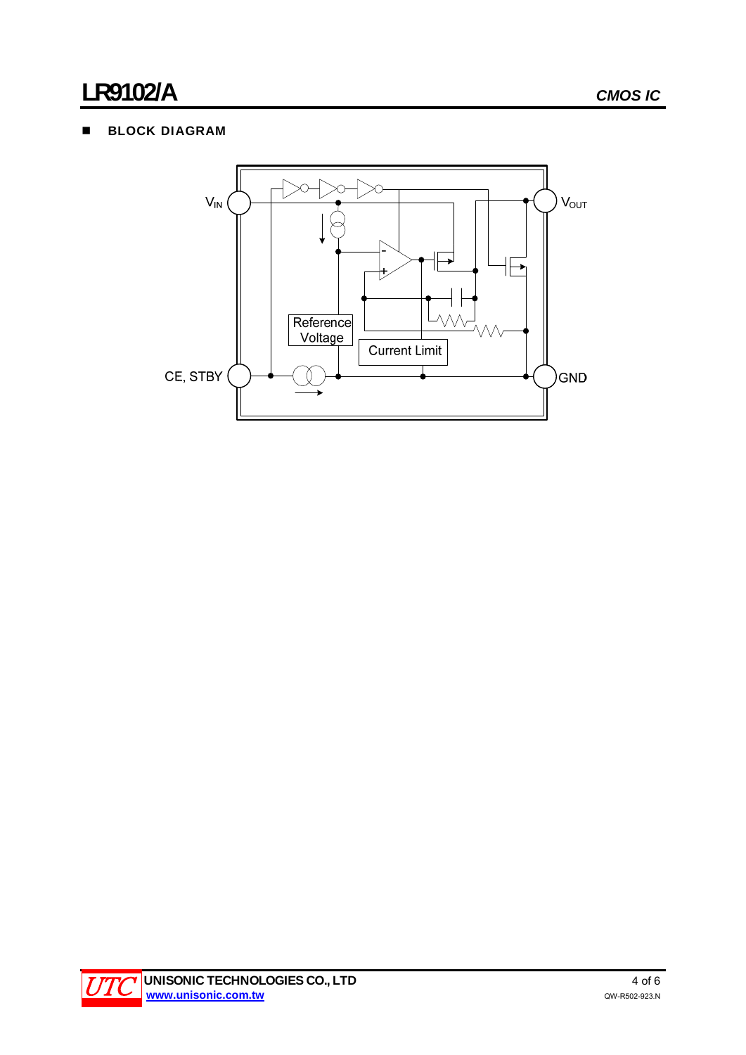## **BLOCK DIAGRAM**



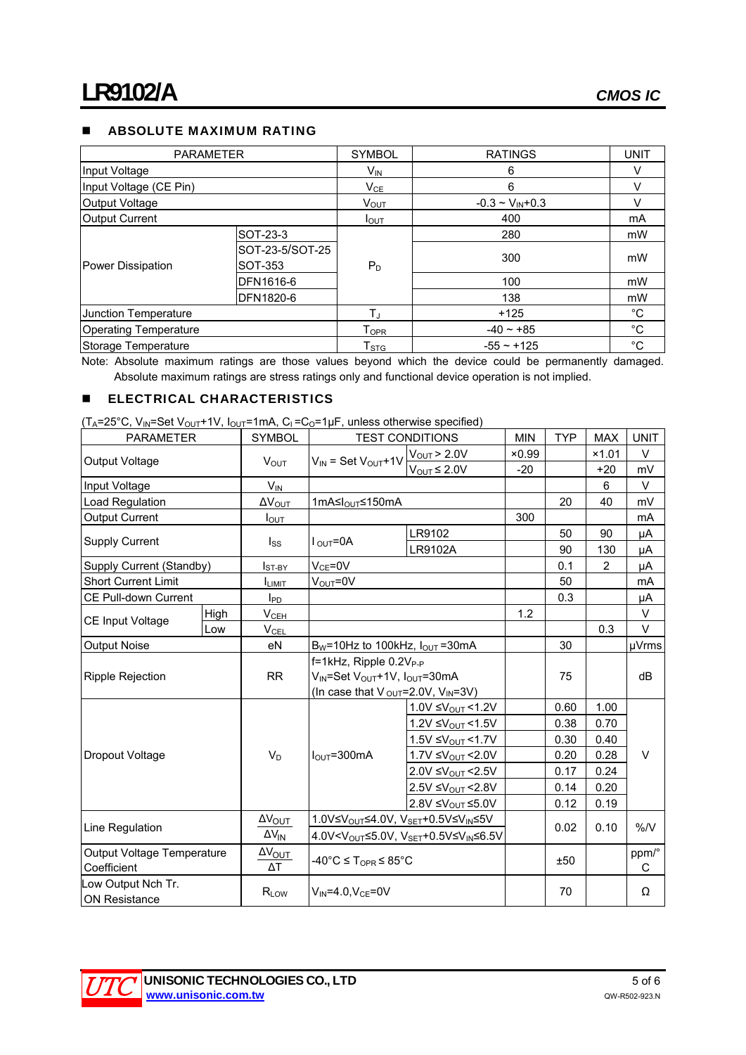## **ABSOLUTE MAXIMUM RATING**

| <b>PARAMETER</b>             |                 | <b>SYMBOL</b>             | <b>RATINGS</b>           | <b>UNIT</b> |
|------------------------------|-----------------|---------------------------|--------------------------|-------------|
| Input Voltage                |                 | V <sub>IN</sub>           | 6                        |             |
| Input Voltage (CE Pin)       |                 | $V_{CE}$                  | 6                        | V           |
| Output Voltage               |                 | V <sub>OUT</sub>          | $-0.3 \sim V_{IN} + 0.3$ |             |
| <b>Output Current</b>        |                 | $I_{\text{OUT}}$          | 400                      | mA          |
|                              | SOT-23-3        |                           | 280                      | mW          |
|                              | SOT-23-5/SOT-25 |                           |                          | mW          |
| Power Dissipation            | SOT-353         | $P_D$                     | 300                      |             |
|                              | DFN1616-6       |                           | 100                      | mW          |
|                              | DFN1820-6       |                           | 138                      | mW          |
| Junction Temperature         |                 | TJ                        | $+125$                   | $^{\circ}C$ |
| <b>Operating Temperature</b> |                 | T <sub>OPR</sub>          | $-40 - +85$              | $^{\circ}C$ |
| Storage Temperature          |                 | $\mathsf{T}_{\text{STG}}$ | $-55 - +125$             | °C          |

Note: Absolute maximum ratings are those values beyond which the device could be permanently damaged. Absolute maximum ratings are stress ratings only and functional device operation is not implied.

## **ELECTRICAL CHARACTERISTICS**

 $(T_A=25^{\circ}C, V_N=Set V_{OUT}+1V, I_{OUT}=1mA, C_1=C_0=1\mu F$ , unless otherwise specified)

| <b>PARAMETER</b>                           |      | <b>SYMBOL</b>                 | <b>TEST CONDITIONS</b>                                                  |                               | <b>MIN</b> | <b>TYP</b> | <b>MAX</b>     | <b>UNIT</b> |  |
|--------------------------------------------|------|-------------------------------|-------------------------------------------------------------------------|-------------------------------|------------|------------|----------------|-------------|--|
| Output Voltage                             |      | <b>VOUT</b>                   |                                                                         | $V_{OUT}$ > 2.0V              | ×0.99      |            | ×1.01          | $\vee$      |  |
|                                            |      |                               | $V_{IN}$ = Set $V_{OUT}+1V$                                             | $V_{OUT} \leq 2.0V$           | $-20$      |            | $+20$          | mV          |  |
| Input Voltage                              |      | $V_{\text{IN}}$               |                                                                         |                               |            |            | 6              | $\vee$      |  |
| Load Regulation                            |      | $\Delta V_{OUT}$              | 1mA≤l <sub>OUT</sub> ≤150mA                                             |                               |            | 20         | 40             | mV          |  |
| <b>Output Current</b>                      |      | $I_{\text{OUT}}$              |                                                                         |                               | 300        |            |                | mA          |  |
|                                            |      |                               |                                                                         | LR9102                        |            | 50         | 90             | μA          |  |
| <b>Supply Current</b>                      |      | $I_{SS}$                      | $I_{\text{OUT}} = 0A$                                                   | LR9102A                       |            | 90         | 130            | μA          |  |
| Supply Current (Standby)                   |      | $I_{ST-BY}$                   | $V_{CE} = 0V$                                                           |                               |            | 0.1        | $\overline{2}$ | μA          |  |
| <b>Short Current Limit</b>                 |      | <b>ILIMIT</b>                 | $V_{\text{OUT}} = 0V$                                                   |                               | 50         |            | mA             |             |  |
| CE Pull-down Current                       |      | $I_{PD}$                      |                                                                         |                               |            | 0.3        |                | μA          |  |
|                                            | High | V <sub>CEH</sub>              |                                                                         |                               | 1.2        |            |                | V           |  |
| CE Input Voltage                           | Low  | <b>V<sub>CEL</sub></b>        |                                                                         |                               |            |            | 0.3            | $\vee$      |  |
| <b>Output Noise</b>                        |      | eN                            | $B_W$ =10Hz to 100kHz, $I_{OUT}$ =30mA                                  |                               |            | 30         |                | µVrms       |  |
|                                            |      | <b>RR</b>                     | f=1kHz, Ripple 0.2V <sub>P-P</sub>                                      |                               |            |            |                |             |  |
| <b>Ripple Rejection</b>                    |      |                               | V <sub>IN</sub> =Set V <sub>OUT</sub> +1V, I <sub>OUT</sub> =30mA       |                               |            | 75         |                | dB          |  |
|                                            |      |                               | (In case that $V_{OUT} = 2.0V$ , $V_{IN} = 3V$ )                        |                               |            |            |                |             |  |
|                                            |      |                               |                                                                         | 1.0V ≤ $V_{OUT}$ < 1.2V       |            | 0.60       | 1.00           |             |  |
|                                            |      | $V_D$                         | $I_{\text{OUT}} = 300 \text{mA}$                                        | 1.2V ≤ $V_{OUT}$ < 1.5V       |            | 0.38       | 0.70           |             |  |
|                                            |      |                               |                                                                         | 1.5V ≤ $V_{OUT}$ < 1.7V       |            | 0.30       | 0.40           |             |  |
| Dropout Voltage                            |      |                               |                                                                         | 1.7V ≤ $V_{OUT}$ < 2.0V       |            | 0.20       | 0.28           | V           |  |
|                                            |      |                               |                                                                         | 2.0V ≤ $V_{OUT}$ < 2.5V       |            | 0.17       | 0.24           |             |  |
|                                            |      |                               |                                                                         | 2.5V ≤ $V_{OUT}$ < 2.8V       |            | 0.14       | 0.20           |             |  |
|                                            |      |                               |                                                                         | 2.8V ≤ $V_{\text{OUT}}$ ≤5.0V |            | 0.12       | 0.19           |             |  |
| Line Regulation                            |      | $\Delta V_{\text{OUT}}$       | 1.0V≤V <sub>OUT</sub> ≤4.0V, V <sub>SET</sub> +0.5V≤V <sub>IN</sub> ≤5V |                               |            |            | 0.10           | %N          |  |
|                                            |      | $\Delta V_{IN}$               | 4.0V <v<sub>OUT≤5.0V, V<sub>SET</sub>+0.5V≤V<sub>IN</sub>≤6.5V</v<sub>  |                               |            | 0.02       |                |             |  |
| Output Voltage Temperature<br>Coefficient  |      | $\Delta V_{\text{OUT}}$<br>ΔТ | -40°C ≤ T <sub>OPR</sub> ≤ 85°C                                         |                               |            | ±50        |                | ppm/°<br>C  |  |
| Low Output Nch Tr.<br><b>ON Resistance</b> |      | $R_{LOW}$                     | $V_{IN} = 4.0$ . $V_{CF} = 0V$                                          |                               |            | 70         |                | Ω           |  |